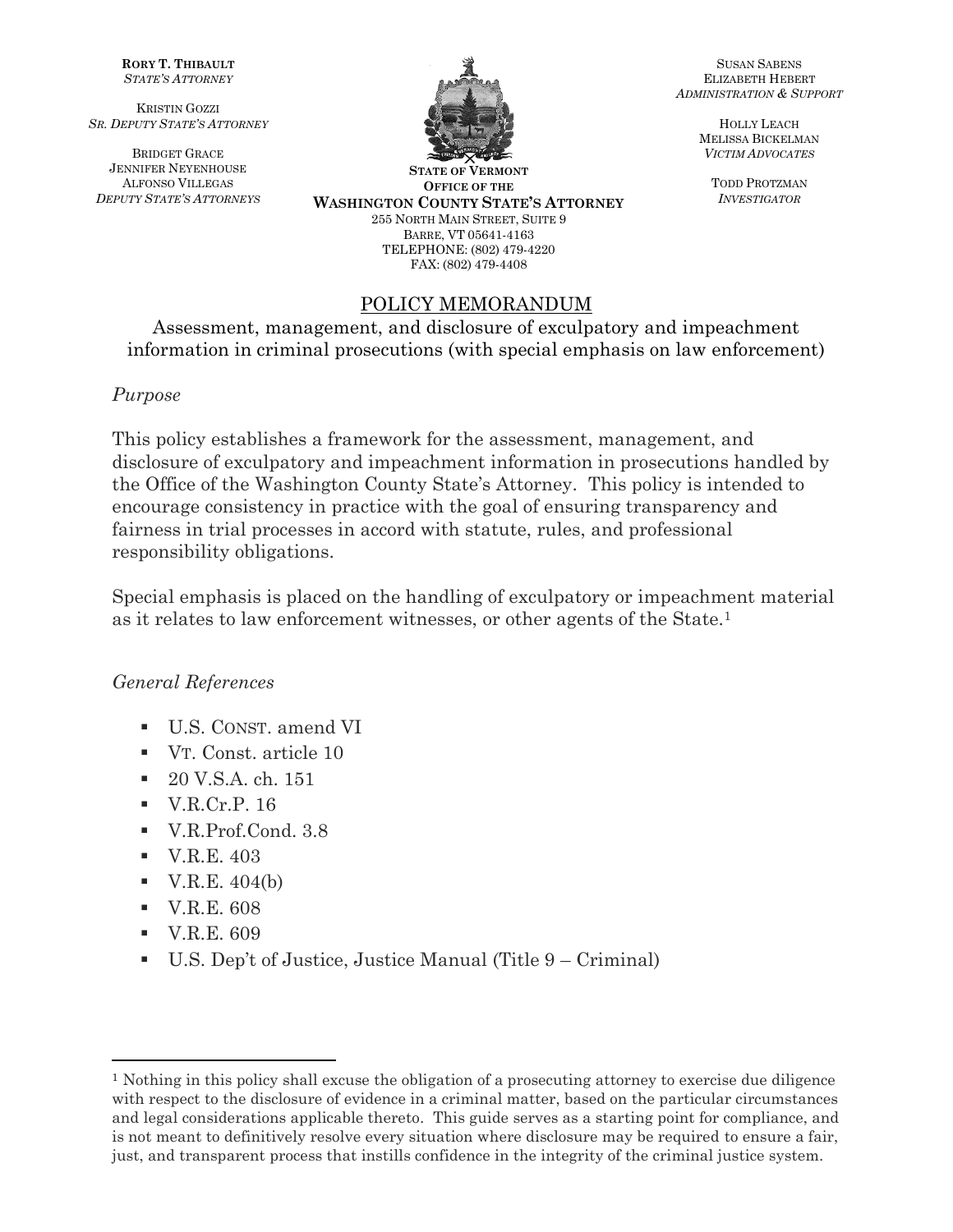**RORY T. THIBAULT** *STATE'S ATTORNEY* 

KRISTIN GOZZI *SR. DEPUTY STATE'S ATTORNEY*

BRIDGET GRACE JENNIFER NEYENHOUSE ALFONSO VILLEGAS *DEPUTY STATE'S ATTORNEYS*



**STATE OF VERMONT OFFICE OF THE WASHINGTON COUNTY STATE'S ATTORNEY** 255 NORTH MAIN STREET, SUITE 9 BARRE, VT 05641-4163 TELEPHONE: (802) 479-4220

FAX: (802) 479-4408

### POLICY MEMORANDUM

Assessment, management, and disclosure of exculpatory and impeachment information in criminal prosecutions (with special emphasis on law enforcement)

#### *Purpose*

This policy establishes a framework for the assessment, management, and disclosure of exculpatory and impeachment information in prosecutions handled by the Office of the Washington County State's Attorney. This policy is intended to encourage consistency in practice with the goal of ensuring transparency and fairness in trial processes in accord with statute, rules, and professional responsibility obligations.

Special emphasis is placed on the handling of exculpatory or impeachment material as it relates to law enforcement witnesses, or other agents of the State.<sup>1</sup>

#### *General References*

- U.S. CONST. amend VI
- VT. Const. article 10
- 20 V.S.A. ch. 151
- $\blacksquare$  V.R.Cr.P. 16
- V.R.Prof.Cond. 3.8
- **•** V.R.E. 403
- $\bullet$  V.R.E. 404(b)
- **•** V.R.E. 608
- **•** V.R.E. 609
- U.S. Dep't of Justice, Justice Manual (Title 9 Criminal)

SUSAN SABENS ELIZABETH HEBERT *ADMINISTRATION & SUPPORT*

> HOLLY LEACH MELISSA BICKELMAN *VICTIM ADVOCATES*

TODD PROTZMAN *INVESTIGATOR*

<sup>&</sup>lt;sup>1</sup> Nothing in this policy shall excuse the obligation of a prosecuting attorney to exercise due diligence with respect to the disclosure of evidence in a criminal matter, based on the particular circumstances and legal considerations applicable thereto. This guide serves as a starting point for compliance, and is not meant to definitively resolve every situation where disclosure may be required to ensure a fair, just, and transparent process that instills confidence in the integrity of the criminal justice system.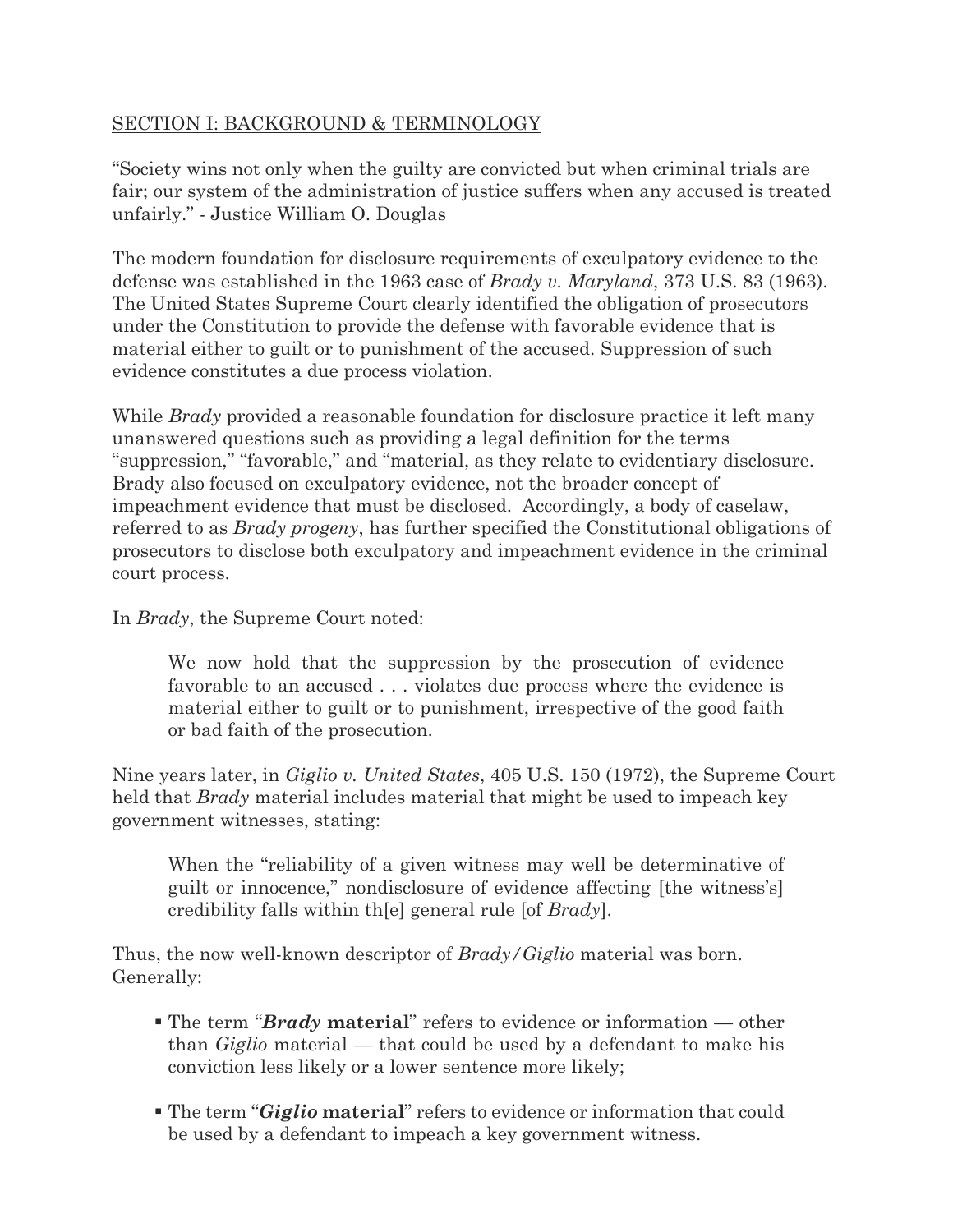#### SECTION I: BACKGROUND & TERMINOLOGY

"Society wins not only when the guilty are convicted but when criminal trials are fair; our system of the administration of justice suffers when any accused is treated unfairly." - Justice William O. Douglas

The modern foundation for disclosure requirements of exculpatory evidence to the defense was established in the 1963 case of *Brady v. Maryland*, 373 U.S. 83 (1963). The United States Supreme Court clearly identified the obligation of prosecutors under the Constitution to provide the defense with favorable evidence that is material either to guilt or to punishment of the accused. Suppression of such evidence constitutes a due process violation.

While *Brady* provided a reasonable foundation for disclosure practice it left many unanswered questions such as providing a legal definition for the terms "suppression," "favorable," and "material, as they relate to evidentiary disclosure. Brady also focused on exculpatory evidence, not the broader concept of impeachment evidence that must be disclosed. Accordingly, a body of caselaw, referred to as *Brady progeny*, has further specified the Constitutional obligations of prosecutors to disclose both exculpatory and impeachment evidence in the criminal court process.

In *Brady*, the Supreme Court noted:

We now hold that the suppression by the prosecution of evidence favorable to an accused . . . violates due process where the evidence is material either to guilt or to punishment, irrespective of the good faith or bad faith of the prosecution.

Nine years later, in *Giglio v. United States*, 405 U.S. 150 (1972), the Supreme Court held that *Brady* material includes material that might be used to impeach key government witnesses, stating:

When the "reliability of a given witness may well be determinative of guilt or innocence," nondisclosure of evidence affecting [the witness's] credibility falls within th[e] general rule [of *Brady*].

Thus, the now well-known descriptor of *Brady/Giglio* material was born. Generally:

- The term "*Brady* **material**" refers to evidence or information other than *Giglio* material — that could be used by a defendant to make his conviction less likely or a lower sentence more likely;
- The term "*Giglio* **material**" refers to evidence or information that could be used by a defendant to impeach a key government witness.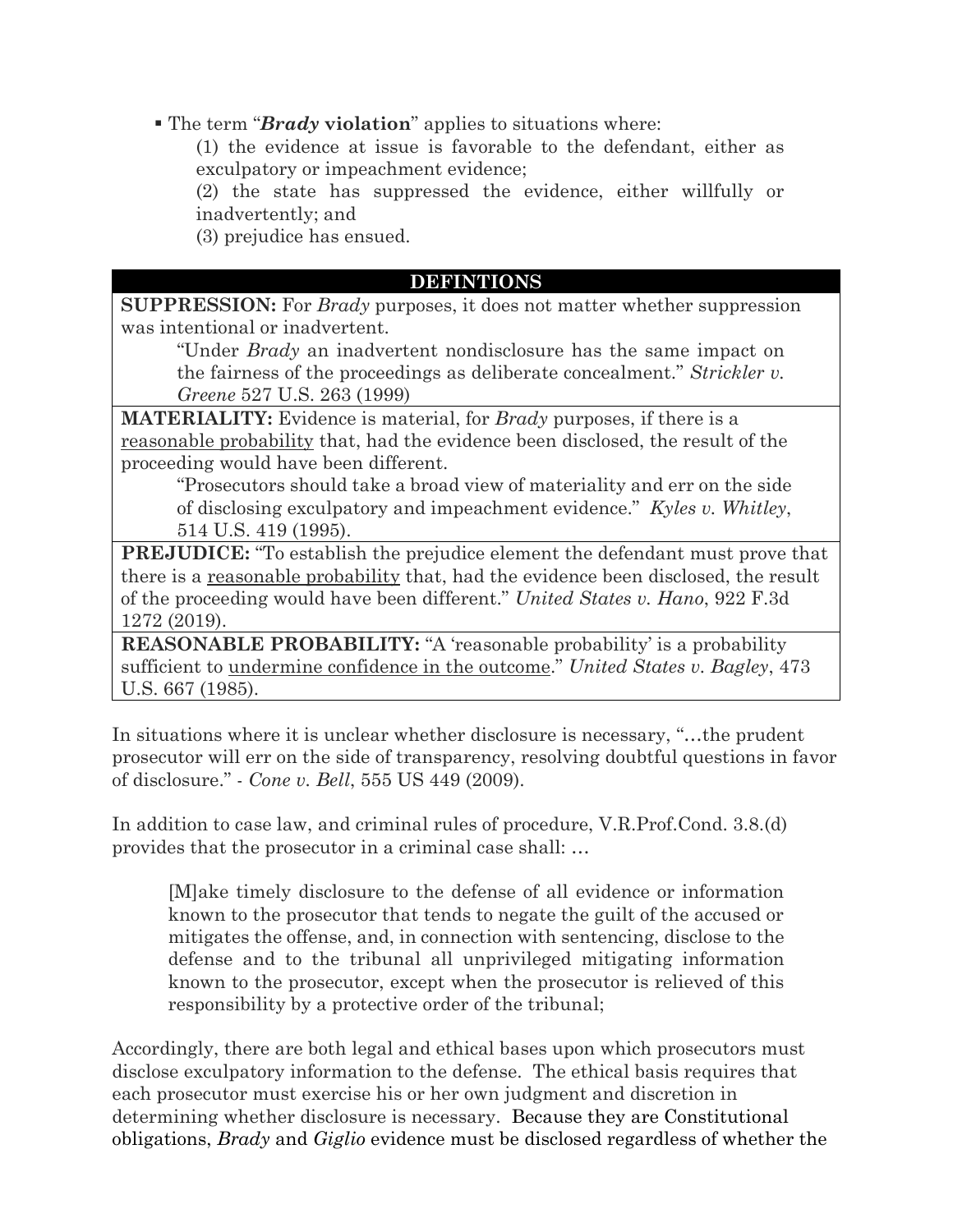▪ The term "*Brady* **violation**" applies to situations where:

(1) the evidence at issue is favorable to the defendant, either as exculpatory or impeachment evidence;

(2) the state has suppressed the evidence, either willfully or inadvertently; and

(3) prejudice has ensued.

#### **DEFINTIONS**

**SUPPRESSION:** For *Brady* purposes, it does not matter whether suppression was intentional or inadvertent.

"Under *Brady* an inadvertent nondisclosure has the same impact on the fairness of the proceedings as deliberate concealment." *Strickler v. Greene* 527 U.S. 263 (1999)

**MATERIALITY:** Evidence is material, for *Brady* purposes, if there is a reasonable probability that, had the evidence been disclosed, the result of the proceeding would have been different.

"Prosecutors should take a broad view of materiality and err on the side of disclosing exculpatory and impeachment evidence." *Kyles v. Whitley*, 514 U.S. 419 (1995).

**PREJUDICE:** "To establish the prejudice element the defendant must prove that there is a reasonable probability that, had the evidence been disclosed, the result of the proceeding would have been different." *United States v. Hano*, 922 F.3d 1272 (2019).

**REASONABLE PROBABILITY:** "A 'reasonable probability' is a probability sufficient to undermine confidence in the outcome." *United States v. Bagley*, 473 U.S. 667 (1985).

In situations where it is unclear whether disclosure is necessary, "…the prudent prosecutor will err on the side of transparency, resolving doubtful questions in favor of disclosure." - *Cone v. Bell*, 555 US 449 (2009).

In addition to case law, and criminal rules of procedure, V.R.Prof.Cond. 3.8.(d) provides that the prosecutor in a criminal case shall: …

[M]ake timely disclosure to the defense of all evidence or information known to the prosecutor that tends to negate the guilt of the accused or mitigates the offense, and, in connection with sentencing, disclose to the defense and to the tribunal all unprivileged mitigating information known to the prosecutor, except when the prosecutor is relieved of this responsibility by a protective order of the tribunal;

Accordingly, there are both legal and ethical bases upon which prosecutors must disclose exculpatory information to the defense. The ethical basis requires that each prosecutor must exercise his or her own judgment and discretion in determining whether disclosure is necessary. Because they are Constitutional obligations, *Brady* and *Giglio* evidence must be disclosed regardless of whether the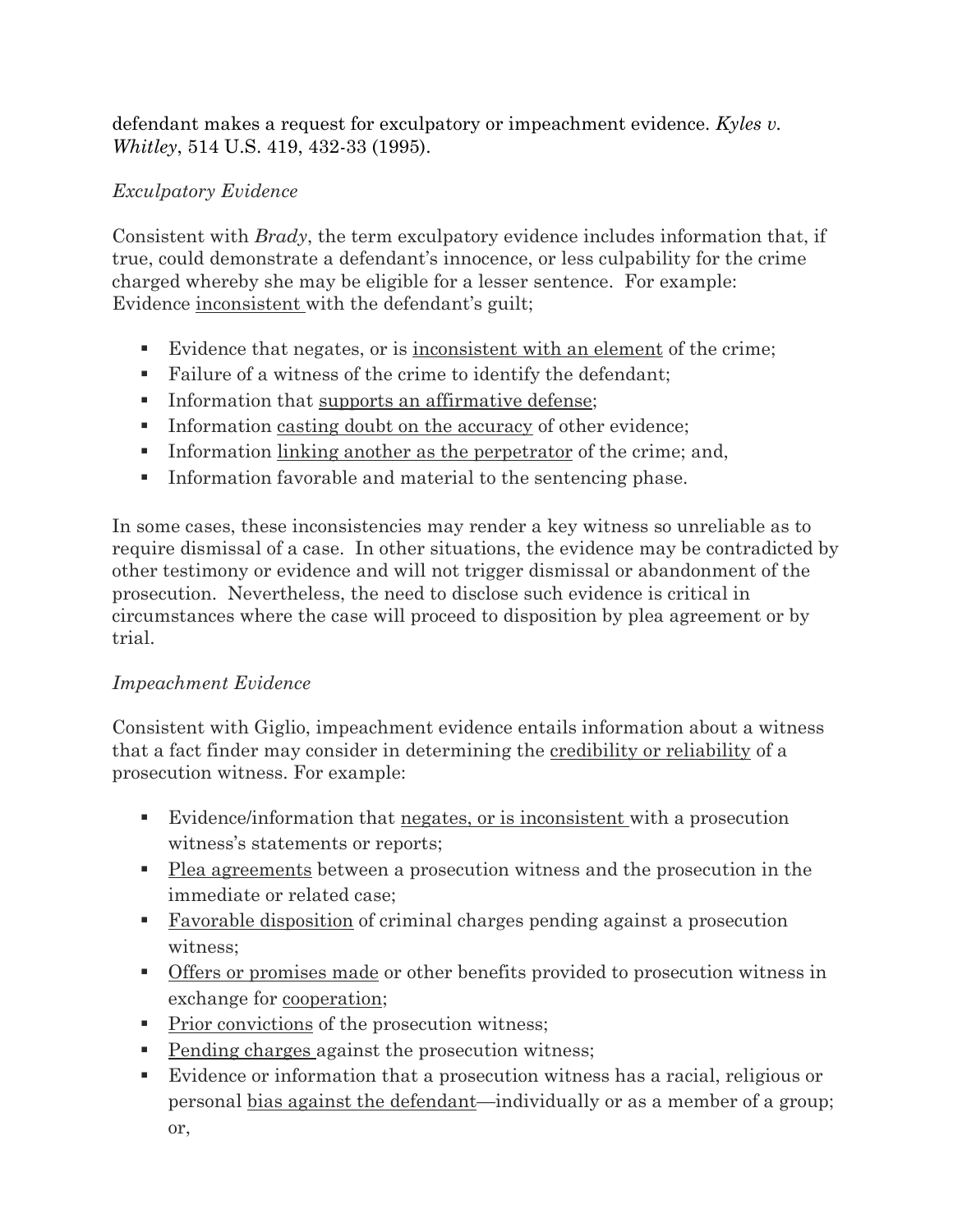defendant makes a request for exculpatory or impeachment evidence. *Kyles v. Whitley*, 514 U.S. 419, 432-33 (1995).

## *Exculpatory Evidence*

Consistent with *Brady*, the term exculpatory evidence includes information that, if true, could demonstrate a defendant's innocence, or less culpability for the crime charged whereby she may be eligible for a lesser sentence. For example: Evidence inconsistent with the defendant's guilt;

- Evidence that negates, or is <u>inconsistent with an element</u> of the crime;
- Failure of a witness of the crime to identify the defendant;
- **•** Information that supports an affirmative defense;
- **•** Information casting doubt on the accuracy of other evidence;
- **•** Information linking another as the perpetrator of the crime; and,
- Information favorable and material to the sentencing phase.

In some cases, these inconsistencies may render a key witness so unreliable as to require dismissal of a case. In other situations, the evidence may be contradicted by other testimony or evidence and will not trigger dismissal or abandonment of the prosecution. Nevertheless, the need to disclose such evidence is critical in circumstances where the case will proceed to disposition by plea agreement or by trial.

## *Impeachment Evidence*

Consistent with Giglio, impeachment evidence entails information about a witness that a fact finder may consider in determining the credibility or reliability of a prosecution witness. For example:

- Evidence/information that negates, or is inconsistent with a prosecution witness's statements or reports;
- Plea agreements between a prosecution witness and the prosecution in the immediate or related case;
- **E** Favorable disposition of criminal charges pending against a prosecution witness;
- **•** Offers <u>or promises made</u> or other benefits provided to prosecution witness in exchange for cooperation;
- Prior convictions of the prosecution witness;
- Pending charges against the prosecution witness;
- Evidence or information that a prosecution witness has a racial, religious or personal bias against the defendant—individually or as a member of a group; or,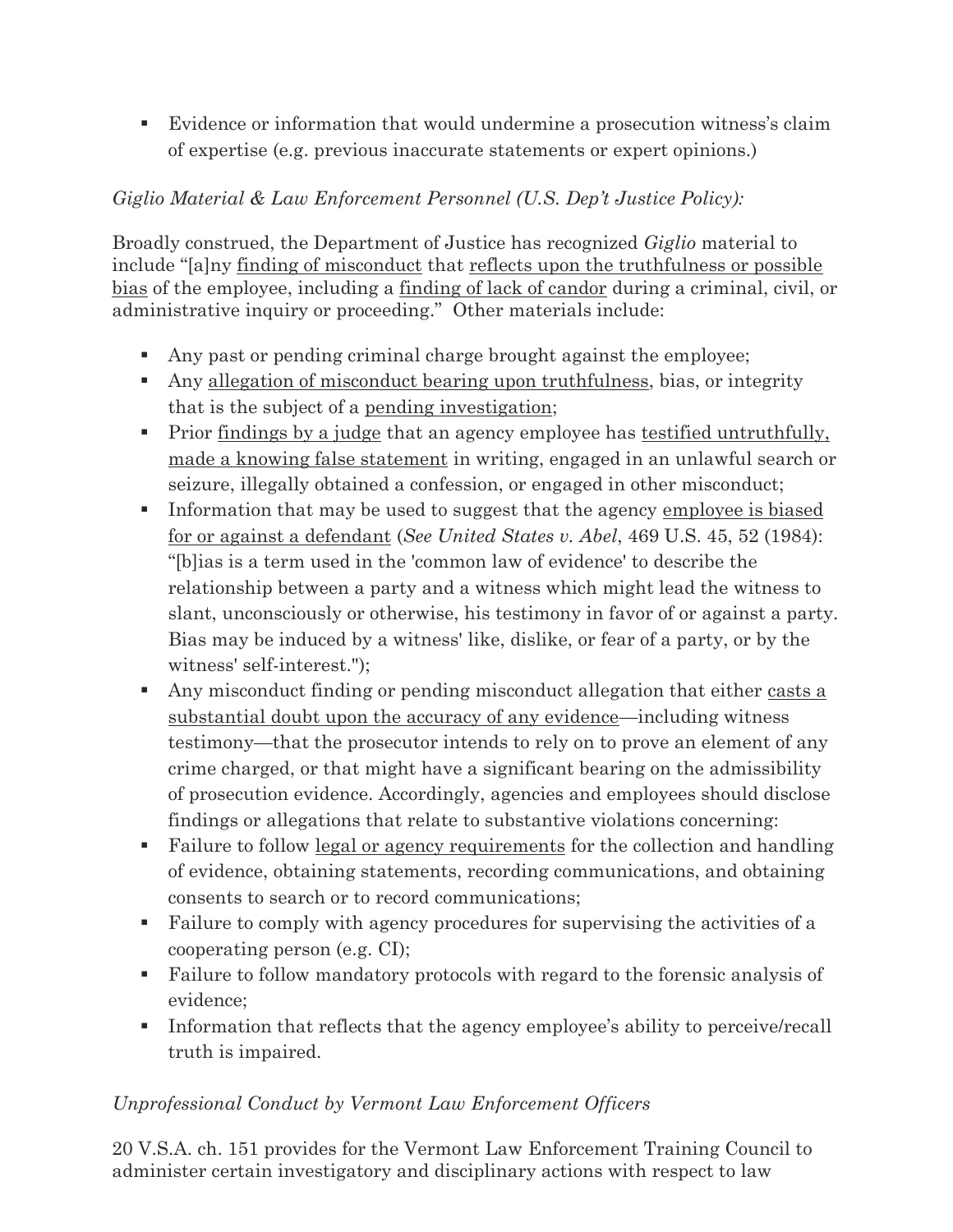▪ Evidence or information that would undermine a prosecution witness's claim of expertise (e.g. previous inaccurate statements or expert opinions.)

## *Giglio Material & Law Enforcement Personnel (U.S. Dep't Justice Policy):*

Broadly construed, the Department of Justice has recognized *Giglio* material to include "[a]ny finding of misconduct that reflects upon the truthfulness or possible bias of the employee, including a finding of lack of candor during a criminal, civil, or administrative inquiry or proceeding." Other materials include:

- Any past or pending criminal charge brought against the employee;
- Any allegation of misconduct bearing upon truthfulness, bias, or integrity that is the subject of a pending investigation;
- Prior findings by a judge that an agency employee has testified untruthfully, made a knowing false statement in writing, engaged in an unlawful search or seizure, illegally obtained a confession, or engaged in other misconduct;
- **•** Information that may be used to suggest that the agency employee is biased for or against a defendant (*See United States v. Abel*, 469 U.S. 45, 52 (1984): "[b]ias is a term used in the 'common law of evidence' to describe the relationship between a party and a witness which might lead the witness to slant, unconsciously or otherwise, his testimony in favor of or against a party. Bias may be induced by a witness' like, dislike, or fear of a party, or by the witness' self-interest.");
- **•** Any misconduct finding or pending misconduct allegation that either casts a substantial doubt upon the accuracy of any evidence—including witness testimony—that the prosecutor intends to rely on to prove an element of any crime charged, or that might have a significant bearing on the admissibility of prosecution evidence. Accordingly, agencies and employees should disclose findings or allegations that relate to substantive violations concerning:
- Failure to follow legal or agency requirements for the collection and handling of evidence, obtaining statements, recording communications, and obtaining consents to search or to record communications;
- Failure to comply with agency procedures for supervising the activities of a cooperating person (e.g. CI);
- Failure to follow mandatory protocols with regard to the forensic analysis of evidence;
- **•** Information that reflects that the agency employee's ability to perceive/recall truth is impaired.

## *Unprofessional Conduct by Vermont Law Enforcement Officers*

20 V.S.A. ch. 151 provides for the Vermont Law Enforcement Training Council to administer certain investigatory and disciplinary actions with respect to law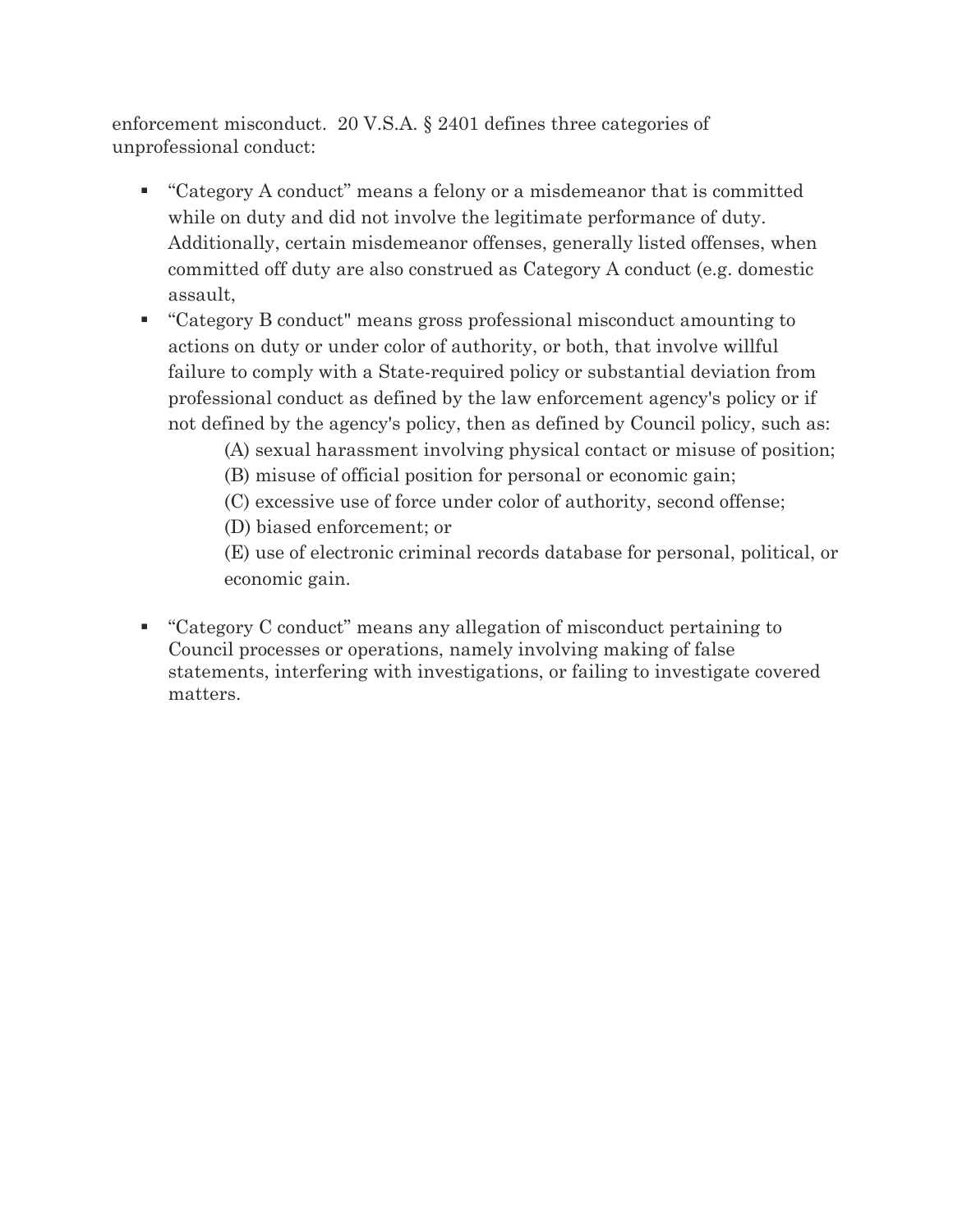enforcement misconduct. 20 V.S.A. § 2401 defines three categories of unprofessional conduct:

- "Category A conduct" means a felony or a misdemeanor that is committed while on duty and did not involve the legitimate performance of duty. Additionally, certain misdemeanor offenses, generally listed offenses, when committed off duty are also construed as Category A conduct (e.g. domestic assault,
- "Category B conduct" means gross professional misconduct amounting to actions on duty or under color of authority, or both, that involve willful failure to comply with a State-required policy or substantial deviation from professional conduct as defined by the law enforcement agency's policy or if not defined by the agency's policy, then as defined by Council policy, such as:
	- (A) sexual harassment involving physical contact or misuse of position;
	- (B) misuse of official position for personal or economic gain;
	- (C) excessive use of force under color of authority, second offense;
	- (D) biased enforcement; or

(E) use of electronic criminal records database for personal, political, or economic gain.

■ "Category C conduct" means any allegation of misconduct pertaining to Council processes or operations, namely involving making of false statements, interfering with investigations, or failing to investigate covered matters.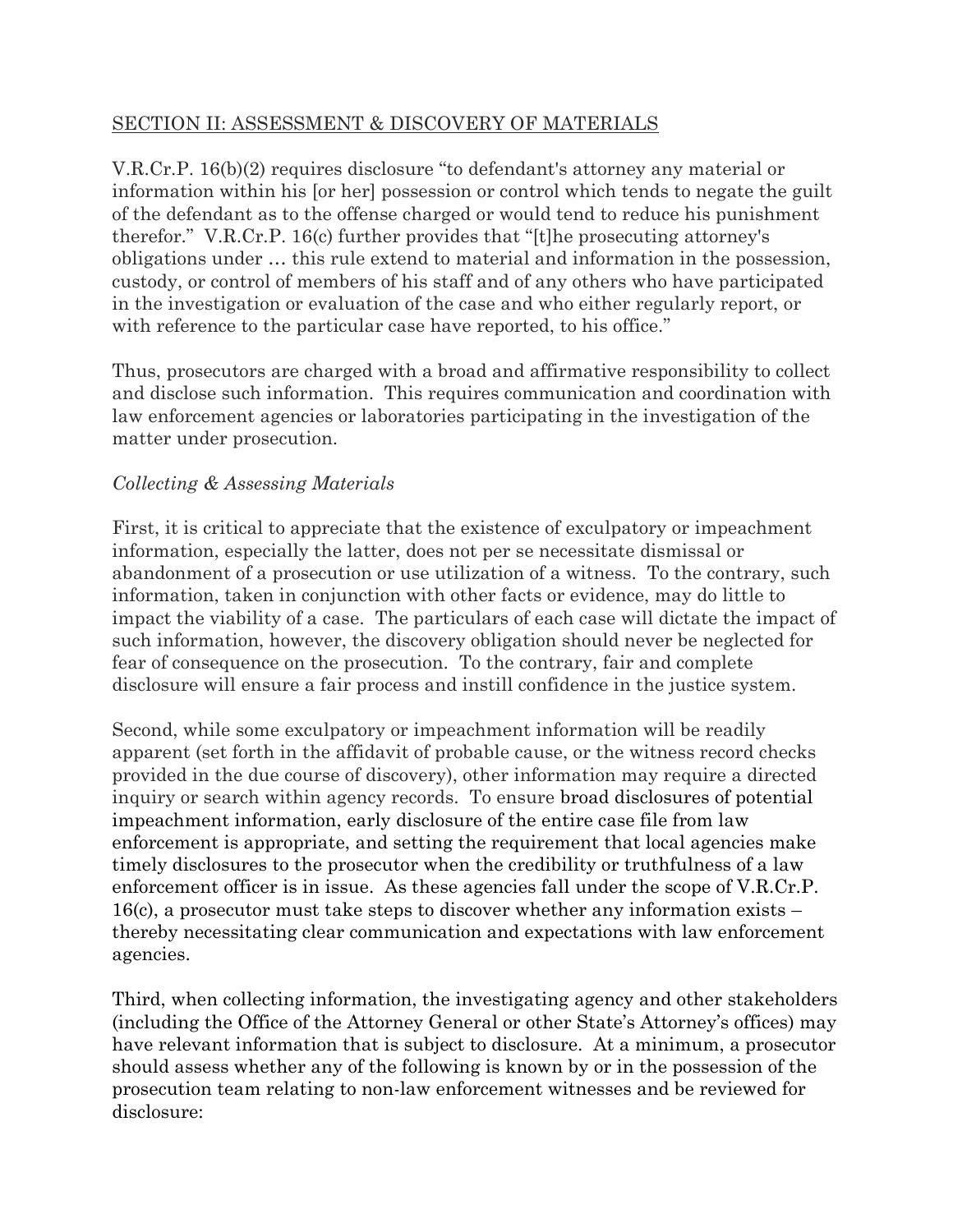#### SECTION II: ASSESSMENT & DISCOVERY OF MATERIALS

V.R.Cr.P. 16(b)(2) requires disclosure "to defendant's attorney any material or information within his [or her] possession or control which tends to negate the guilt of the defendant as to the offense charged or would tend to reduce his punishment therefor." V.R.Cr.P. 16(c) further provides that "[t]he prosecuting attorney's obligations under … this rule extend to material and information in the possession, custody, or control of members of his staff and of any others who have participated in the investigation or evaluation of the case and who either regularly report, or with reference to the particular case have reported, to his office."

Thus, prosecutors are charged with a broad and affirmative responsibility to collect and disclose such information. This requires communication and coordination with law enforcement agencies or laboratories participating in the investigation of the matter under prosecution.

#### *Collecting & Assessing Materials*

First, it is critical to appreciate that the existence of exculpatory or impeachment information, especially the latter, does not per se necessitate dismissal or abandonment of a prosecution or use utilization of a witness. To the contrary, such information, taken in conjunction with other facts or evidence, may do little to impact the viability of a case. The particulars of each case will dictate the impact of such information, however, the discovery obligation should never be neglected for fear of consequence on the prosecution. To the contrary, fair and complete disclosure will ensure a fair process and instill confidence in the justice system.

Second, while some exculpatory or impeachment information will be readily apparent (set forth in the affidavit of probable cause, or the witness record checks provided in the due course of discovery), other information may require a directed inquiry or search within agency records. To ensure broad disclosures of potential impeachment information, early disclosure of the entire case file from law enforcement is appropriate, and setting the requirement that local agencies make timely disclosures to the prosecutor when the credibility or truthfulness of a law enforcement officer is in issue. As these agencies fall under the scope of V.R.Cr.P. 16(c), a prosecutor must take steps to discover whether any information exists – thereby necessitating clear communication and expectations with law enforcement agencies.

Third, when collecting information, the investigating agency and other stakeholders (including the Office of the Attorney General or other State's Attorney's offices) may have relevant information that is subject to disclosure. At a minimum, a prosecutor should assess whether any of the following is known by or in the possession of the prosecution team relating to non-law enforcement witnesses and be reviewed for disclosure: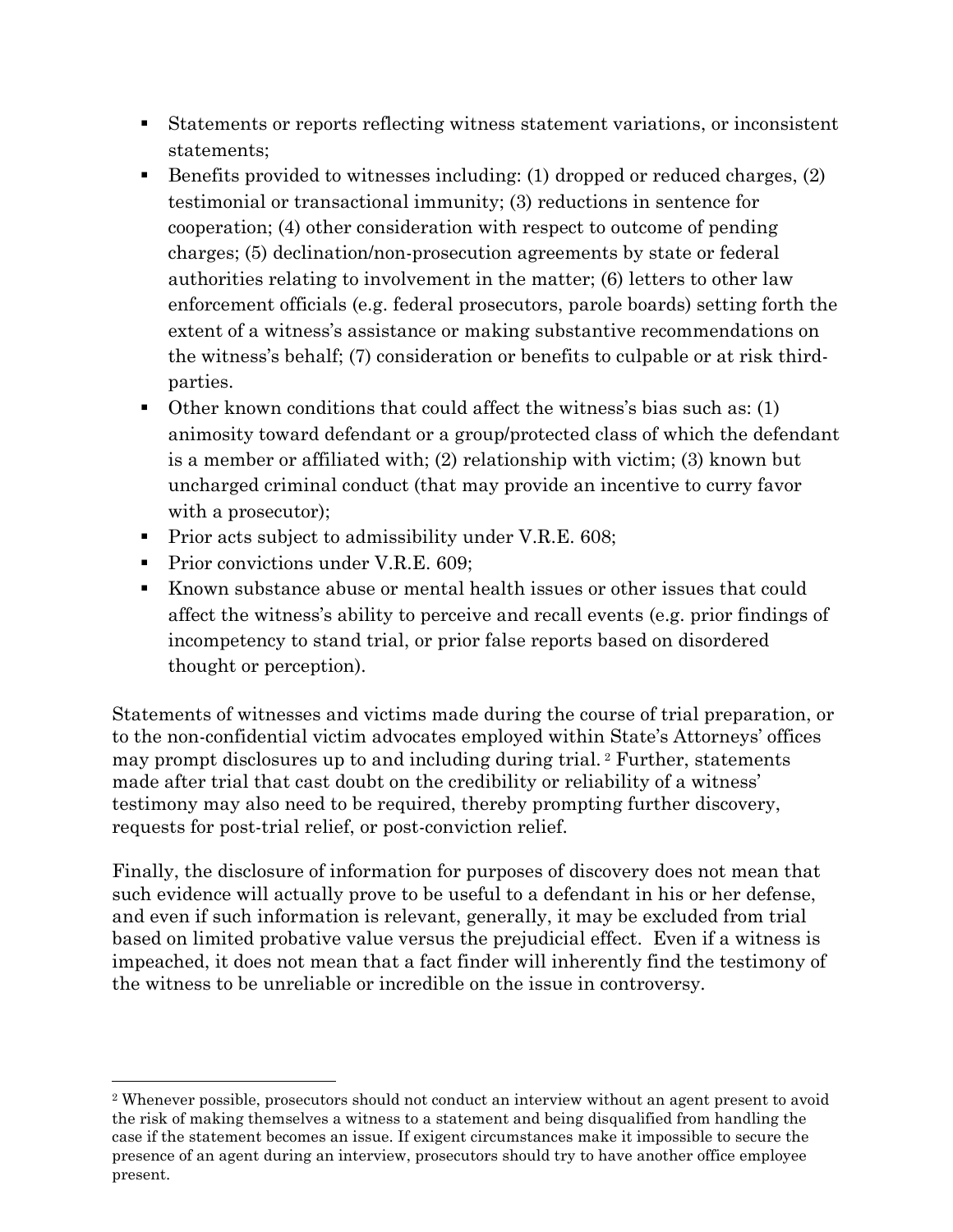- Statements or reports reflecting witness statement variations, or inconsistent statements;
- Benefits provided to witnesses including: (1) dropped or reduced charges, (2) testimonial or transactional immunity; (3) reductions in sentence for cooperation; (4) other consideration with respect to outcome of pending charges; (5) declination/non-prosecution agreements by state or federal authorities relating to involvement in the matter; (6) letters to other law enforcement officials (e.g. federal prosecutors, parole boards) setting forth the extent of a witness's assistance or making substantive recommendations on the witness's behalf; (7) consideration or benefits to culpable or at risk thirdparties.
- Other known conditions that could affect the witness's bias such as: (1) animosity toward defendant or a group/protected class of which the defendant is a member or affiliated with; (2) relationship with victim; (3) known but uncharged criminal conduct (that may provide an incentive to curry favor with a prosecutor);
- Prior acts subject to admissibility under V.R.E. 608;
- Prior convictions under V.R.E. 609;
- Known substance abuse or mental health issues or other issues that could affect the witness's ability to perceive and recall events (e.g. prior findings of incompetency to stand trial, or prior false reports based on disordered thought or perception).

Statements of witnesses and victims made during the course of trial preparation, or to the non-confidential victim advocates employed within State's Attorneys' offices may prompt disclosures up to and including during trial. <sup>2</sup> Further, statements made after trial that cast doubt on the credibility or reliability of a witness' testimony may also need to be required, thereby prompting further discovery, requests for post-trial relief, or post-conviction relief.

Finally, the disclosure of information for purposes of discovery does not mean that such evidence will actually prove to be useful to a defendant in his or her defense, and even if such information is relevant, generally, it may be excluded from trial based on limited probative value versus the prejudicial effect. Even if a witness is impeached, it does not mean that a fact finder will inherently find the testimony of the witness to be unreliable or incredible on the issue in controversy.

<sup>2</sup> Whenever possible, prosecutors should not conduct an interview without an agent present to avoid the risk of making themselves a witness to a statement and being disqualified from handling the case if the statement becomes an issue. If exigent circumstances make it impossible to secure the presence of an agent during an interview, prosecutors should try to have another office employee present.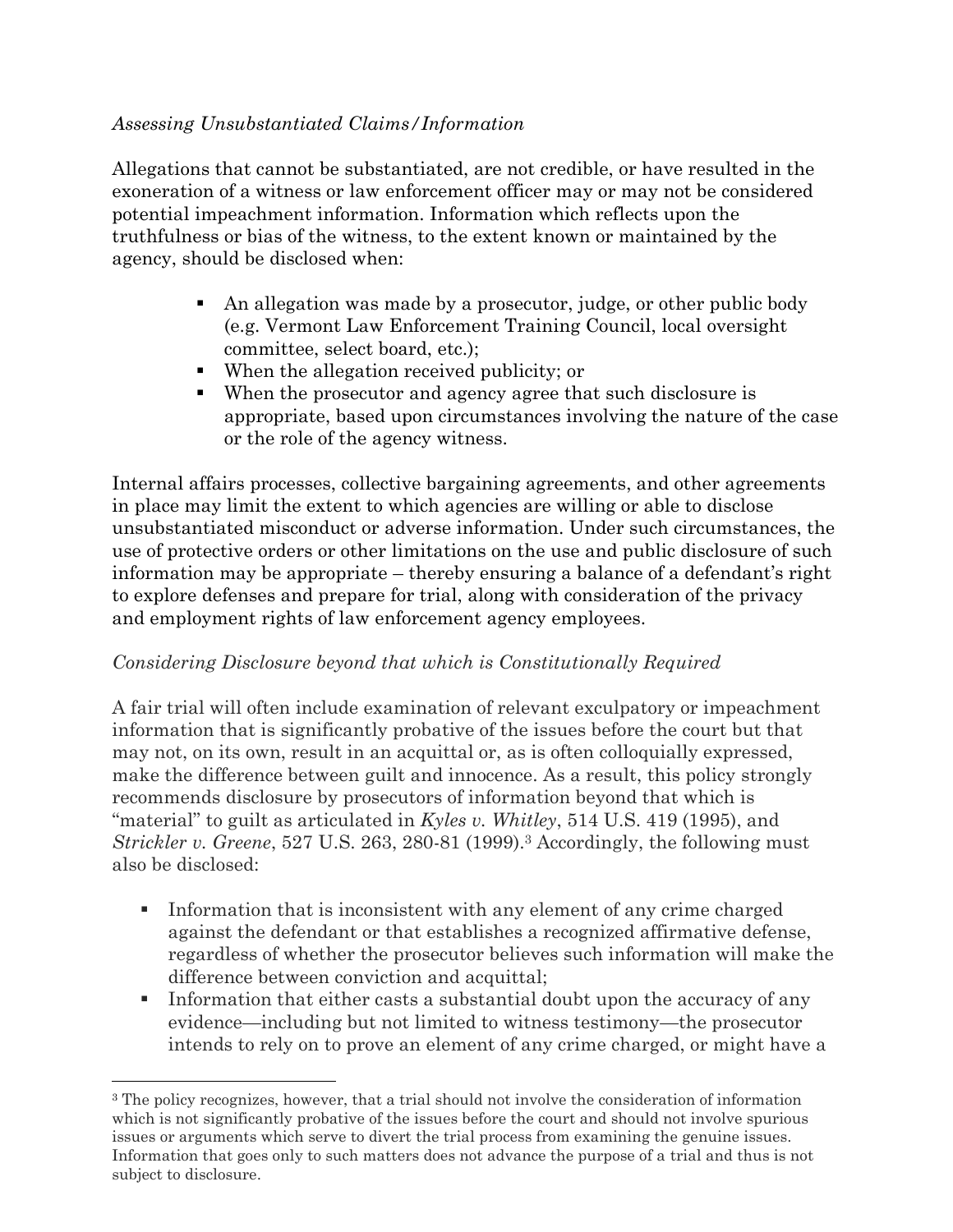#### *Assessing Unsubstantiated Claims/Information*

Allegations that cannot be substantiated, are not credible, or have resulted in the exoneration of a witness or law enforcement officer may or may not be considered potential impeachment information. Information which reflects upon the truthfulness or bias of the witness, to the extent known or maintained by the agency, should be disclosed when:

- An allegation was made by a prosecutor, judge, or other public body (e.g. Vermont Law Enforcement Training Council, local oversight committee, select board, etc.);
- When the allegation received publicity; or
- When the prosecutor and agency agree that such disclosure is appropriate, based upon circumstances involving the nature of the case or the role of the agency witness.

Internal affairs processes, collective bargaining agreements, and other agreements in place may limit the extent to which agencies are willing or able to disclose unsubstantiated misconduct or adverse information. Under such circumstances, the use of protective orders or other limitations on the use and public disclosure of such information may be appropriate – thereby ensuring a balance of a defendant's right to explore defenses and prepare for trial, along with consideration of the privacy and employment rights of law enforcement agency employees.

#### *Considering Disclosure beyond that which is Constitutionally Required*

A fair trial will often include examination of relevant exculpatory or impeachment information that is significantly probative of the issues before the court but that may not, on its own, result in an acquittal or, as is often colloquially expressed, make the difference between guilt and innocence. As a result, this policy strongly recommends disclosure by prosecutors of information beyond that which is "material" to guilt as articulated in *Kyles v. Whitley*, 514 U.S. 419 (1995), and *Strickler v. Greene*, 527 U.S. 263, 280-81 (1999).<sup>3</sup> Accordingly, the following must also be disclosed:

- Information that is inconsistent with any element of any crime charged against the defendant or that establishes a recognized affirmative defense, regardless of whether the prosecutor believes such information will make the difference between conviction and acquittal;
- **•** Information that either casts a substantial doubt upon the accuracy of any evidence—including but not limited to witness testimony—the prosecutor intends to rely on to prove an element of any crime charged, or might have a

<sup>3</sup> The policy recognizes, however, that a trial should not involve the consideration of information which is not significantly probative of the issues before the court and should not involve spurious issues or arguments which serve to divert the trial process from examining the genuine issues. Information that goes only to such matters does not advance the purpose of a trial and thus is not subject to disclosure.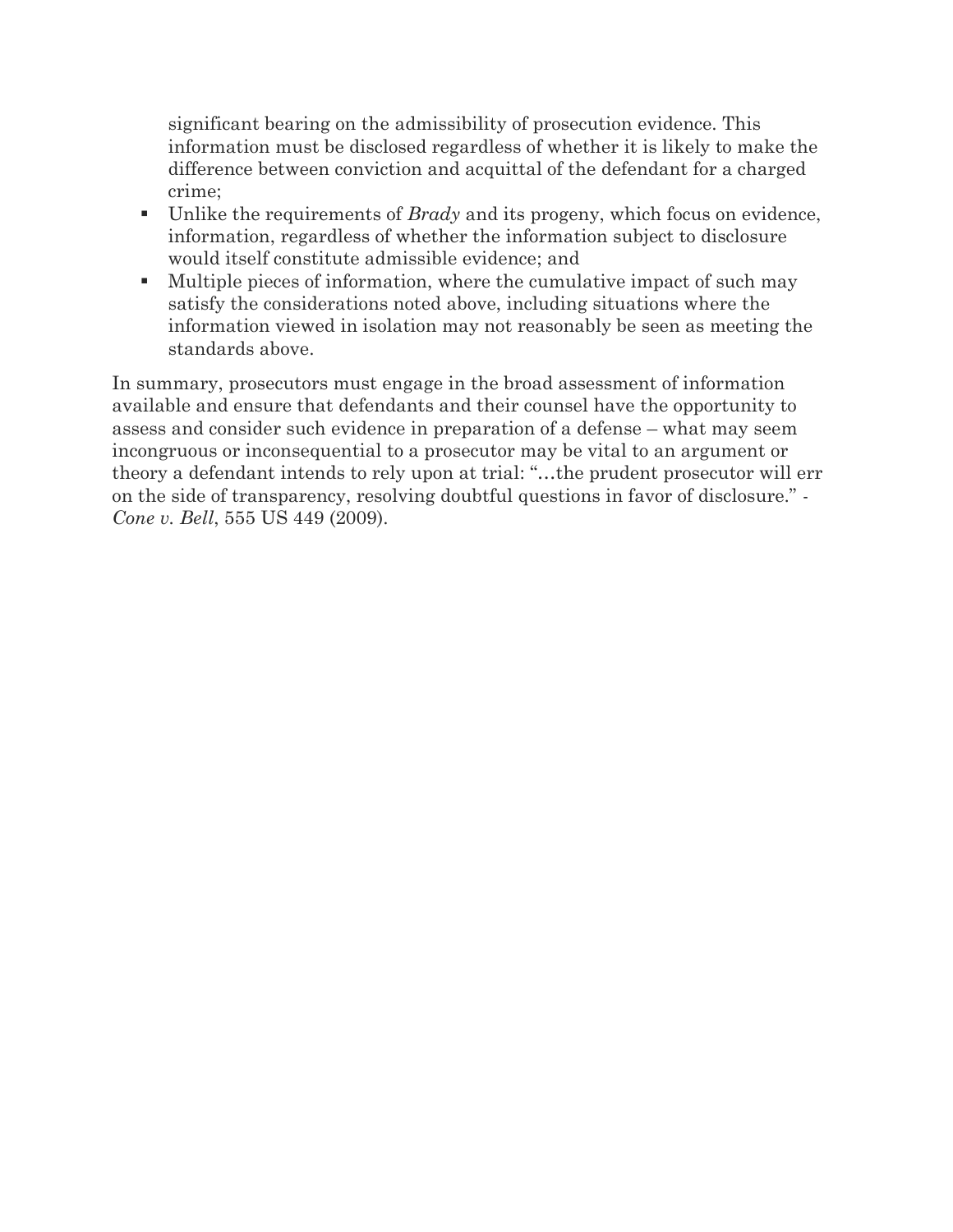significant bearing on the admissibility of prosecution evidence. This information must be disclosed regardless of whether it is likely to make the difference between conviction and acquittal of the defendant for a charged crime;

- Unlike the requirements of *Brady* and its progeny, which focus on evidence, information, regardless of whether the information subject to disclosure would itself constitute admissible evidence; and
- Multiple pieces of information, where the cumulative impact of such may satisfy the considerations noted above, including situations where the information viewed in isolation may not reasonably be seen as meeting the standards above.

In summary, prosecutors must engage in the broad assessment of information available and ensure that defendants and their counsel have the opportunity to assess and consider such evidence in preparation of a defense – what may seem incongruous or inconsequential to a prosecutor may be vital to an argument or theory a defendant intends to rely upon at trial: "…the prudent prosecutor will err on the side of transparency, resolving doubtful questions in favor of disclosure." - *Cone v. Bell*, 555 US 449 (2009).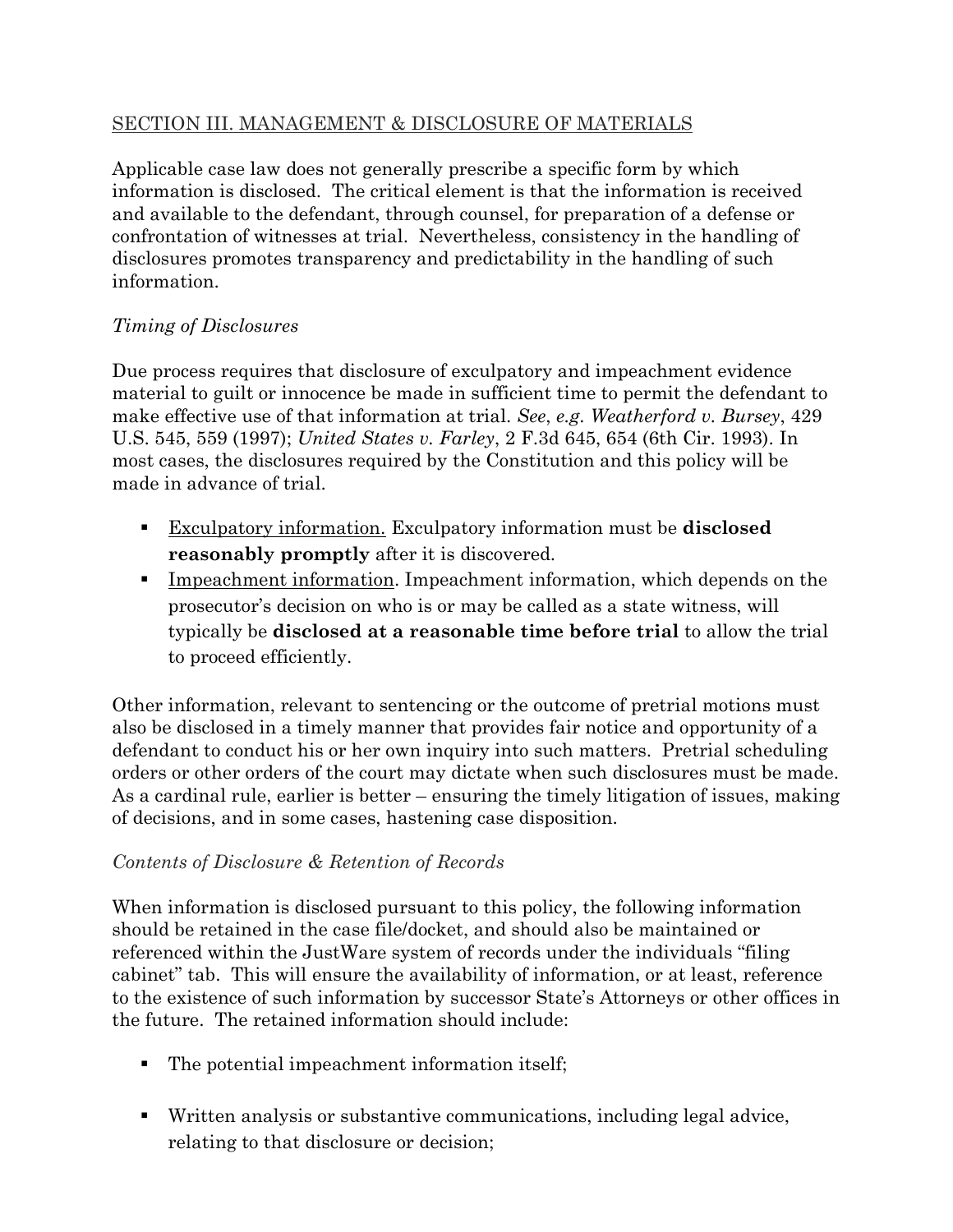### SECTION III. MANAGEMENT & DISCLOSURE OF MATERIALS

Applicable case law does not generally prescribe a specific form by which information is disclosed. The critical element is that the information is received and available to the defendant, through counsel, for preparation of a defense or confrontation of witnesses at trial. Nevertheless, consistency in the handling of disclosures promotes transparency and predictability in the handling of such information.

## *Timing of Disclosures*

Due process requires that disclosure of exculpatory and impeachment evidence material to guilt or innocence be made in sufficient time to permit the defendant to make effective use of that information at trial. *See*, *e.g. Weatherford v. Bursey*, 429 U.S. 545, 559 (1997); *United States v. Farley*, 2 F.3d 645, 654 (6th Cir. 1993). In most cases, the disclosures required by the Constitution and this policy will be made in advance of trial.

- Exculpatory information. Exculpatory information must be **disclosed reasonably promptly** after it is discovered.
- Impeachment information. Impeachment information, which depends on the prosecutor's decision on who is or may be called as a state witness, will typically be **disclosed at a reasonable time before trial** to allow the trial to proceed efficiently.

Other information, relevant to sentencing or the outcome of pretrial motions must also be disclosed in a timely manner that provides fair notice and opportunity of a defendant to conduct his or her own inquiry into such matters. Pretrial scheduling orders or other orders of the court may dictate when such disclosures must be made. As a cardinal rule, earlier is better – ensuring the timely litigation of issues, making of decisions, and in some cases, hastening case disposition.

## *Contents of Disclosure & Retention of Records*

When information is disclosed pursuant to this policy, the following information should be retained in the case file/docket, and should also be maintained or referenced within the JustWare system of records under the individuals "filing cabinet" tab. This will ensure the availability of information, or at least, reference to the existence of such information by successor State's Attorneys or other offices in the future. The retained information should include:

- The potential impeachment information itself;
- Written analysis or substantive communications, including legal advice, relating to that disclosure or decision;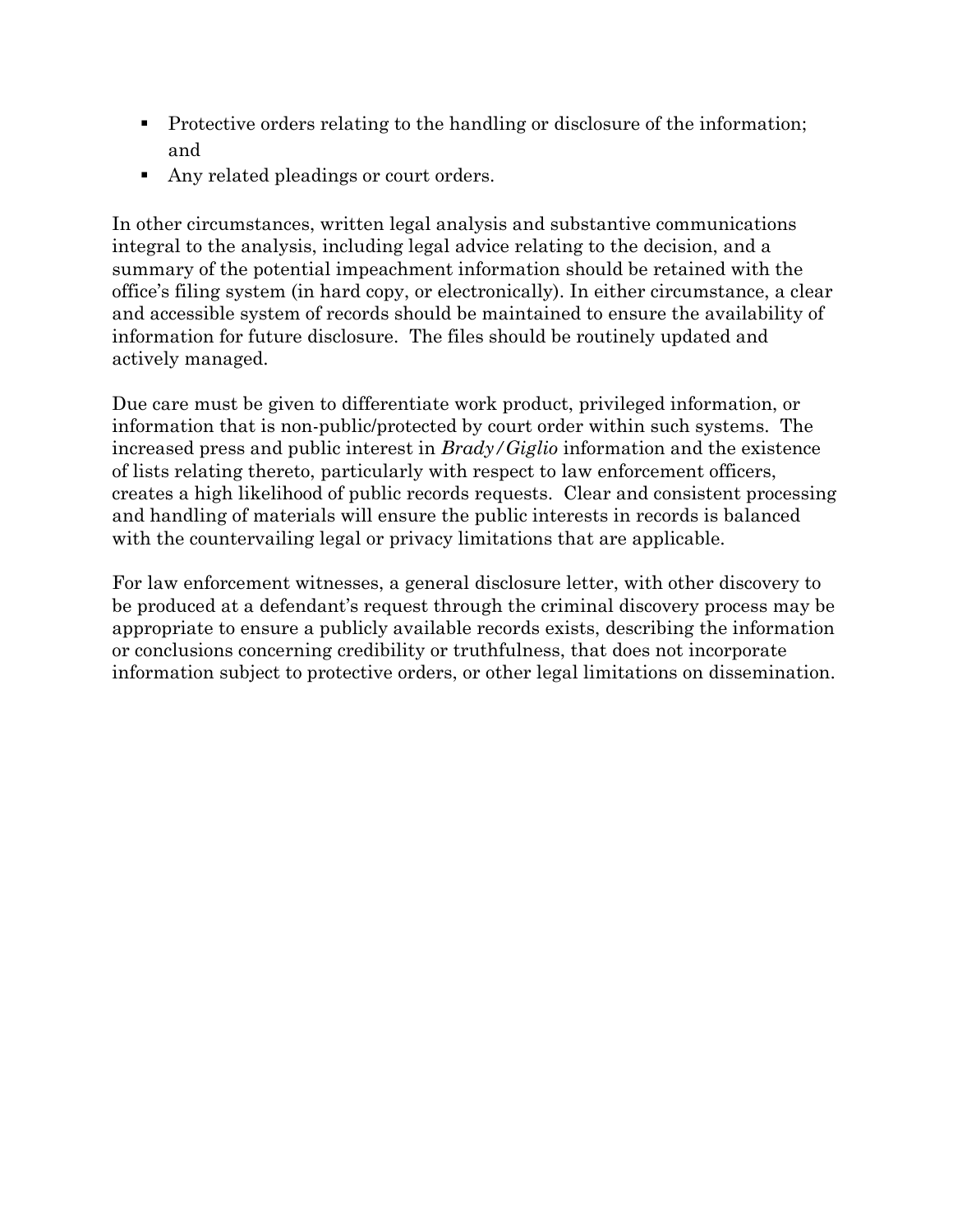- Protective orders relating to the handling or disclosure of the information; and
- Any related pleadings or court orders.

In other circumstances, written legal analysis and substantive communications integral to the analysis, including legal advice relating to the decision, and a summary of the potential impeachment information should be retained with the office's filing system (in hard copy, or electronically). In either circumstance, a clear and accessible system of records should be maintained to ensure the availability of information for future disclosure. The files should be routinely updated and actively managed.

Due care must be given to differentiate work product, privileged information, or information that is non-public/protected by court order within such systems. The increased press and public interest in *Brady/Giglio* information and the existence of lists relating thereto, particularly with respect to law enforcement officers, creates a high likelihood of public records requests. Clear and consistent processing and handling of materials will ensure the public interests in records is balanced with the countervailing legal or privacy limitations that are applicable.

For law enforcement witnesses, a general disclosure letter, with other discovery to be produced at a defendant's request through the criminal discovery process may be appropriate to ensure a publicly available records exists, describing the information or conclusions concerning credibility or truthfulness, that does not incorporate information subject to protective orders, or other legal limitations on dissemination.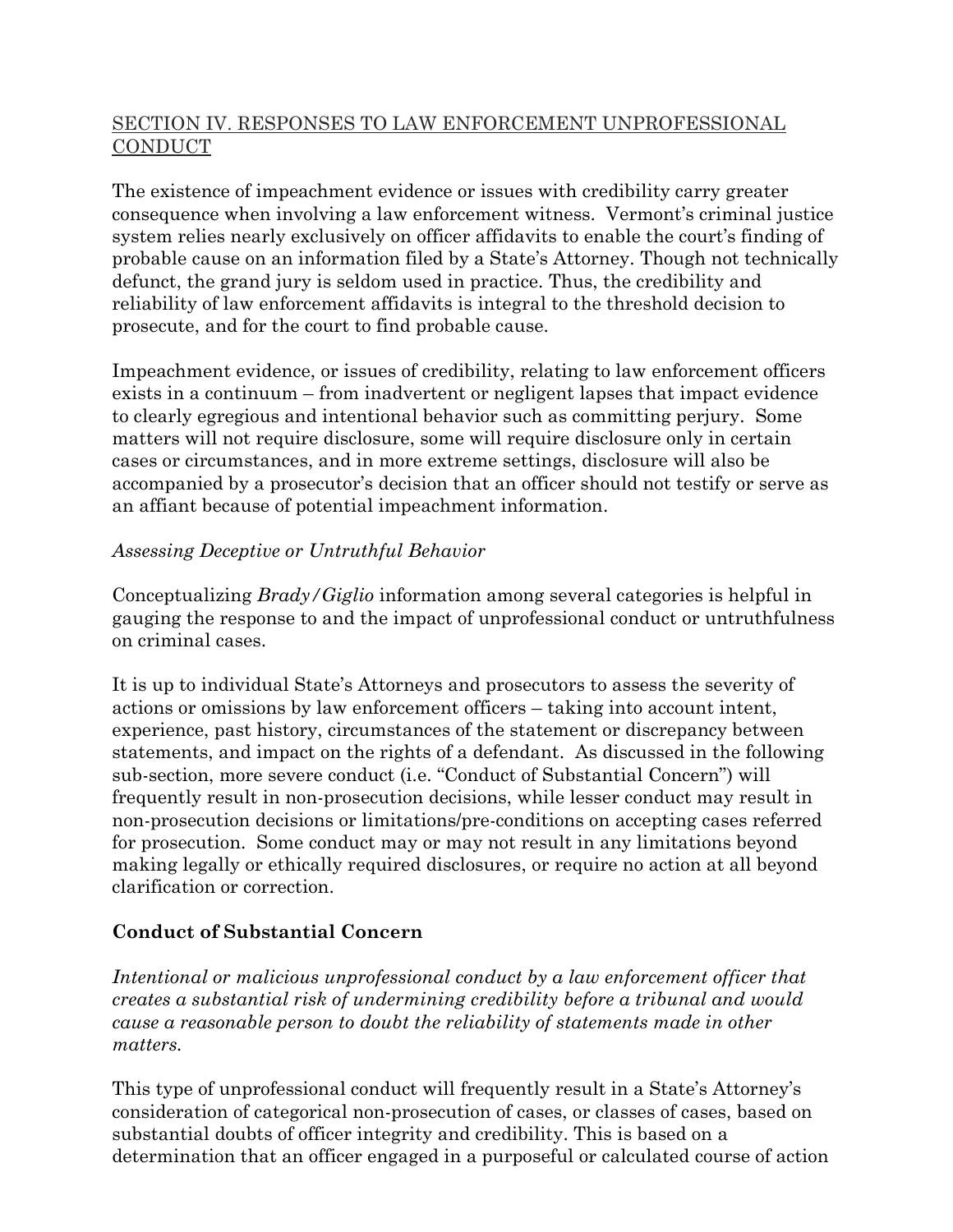### SECTION IV. RESPONSES TO LAW ENFORCEMENT UNPROFESSIONAL **CONDUCT**

The existence of impeachment evidence or issues with credibility carry greater consequence when involving a law enforcement witness. Vermont's criminal justice system relies nearly exclusively on officer affidavits to enable the court's finding of probable cause on an information filed by a State's Attorney. Though not technically defunct, the grand jury is seldom used in practice. Thus, the credibility and reliability of law enforcement affidavits is integral to the threshold decision to prosecute, and for the court to find probable cause.

Impeachment evidence, or issues of credibility, relating to law enforcement officers exists in a continuum – from inadvertent or negligent lapses that impact evidence to clearly egregious and intentional behavior such as committing perjury. Some matters will not require disclosure, some will require disclosure only in certain cases or circumstances, and in more extreme settings, disclosure will also be accompanied by a prosecutor's decision that an officer should not testify or serve as an affiant because of potential impeachment information.

### *Assessing Deceptive or Untruthful Behavior*

Conceptualizing *Brady/Giglio* information among several categories is helpful in gauging the response to and the impact of unprofessional conduct or untruthfulness on criminal cases.

It is up to individual State's Attorneys and prosecutors to assess the severity of actions or omissions by law enforcement officers – taking into account intent, experience, past history, circumstances of the statement or discrepancy between statements, and impact on the rights of a defendant. As discussed in the following sub-section, more severe conduct (i.e. "Conduct of Substantial Concern") will frequently result in non-prosecution decisions, while lesser conduct may result in non-prosecution decisions or limitations/pre-conditions on accepting cases referred for prosecution. Some conduct may or may not result in any limitations beyond making legally or ethically required disclosures, or require no action at all beyond clarification or correction.

# **Conduct of Substantial Concern**

*Intentional or malicious unprofessional conduct by a law enforcement officer that creates a substantial risk of undermining credibility before a tribunal and would cause a reasonable person to doubt the reliability of statements made in other matters.*

This type of unprofessional conduct will frequently result in a State's Attorney's consideration of categorical non-prosecution of cases, or classes of cases, based on substantial doubts of officer integrity and credibility. This is based on a determination that an officer engaged in a purposeful or calculated course of action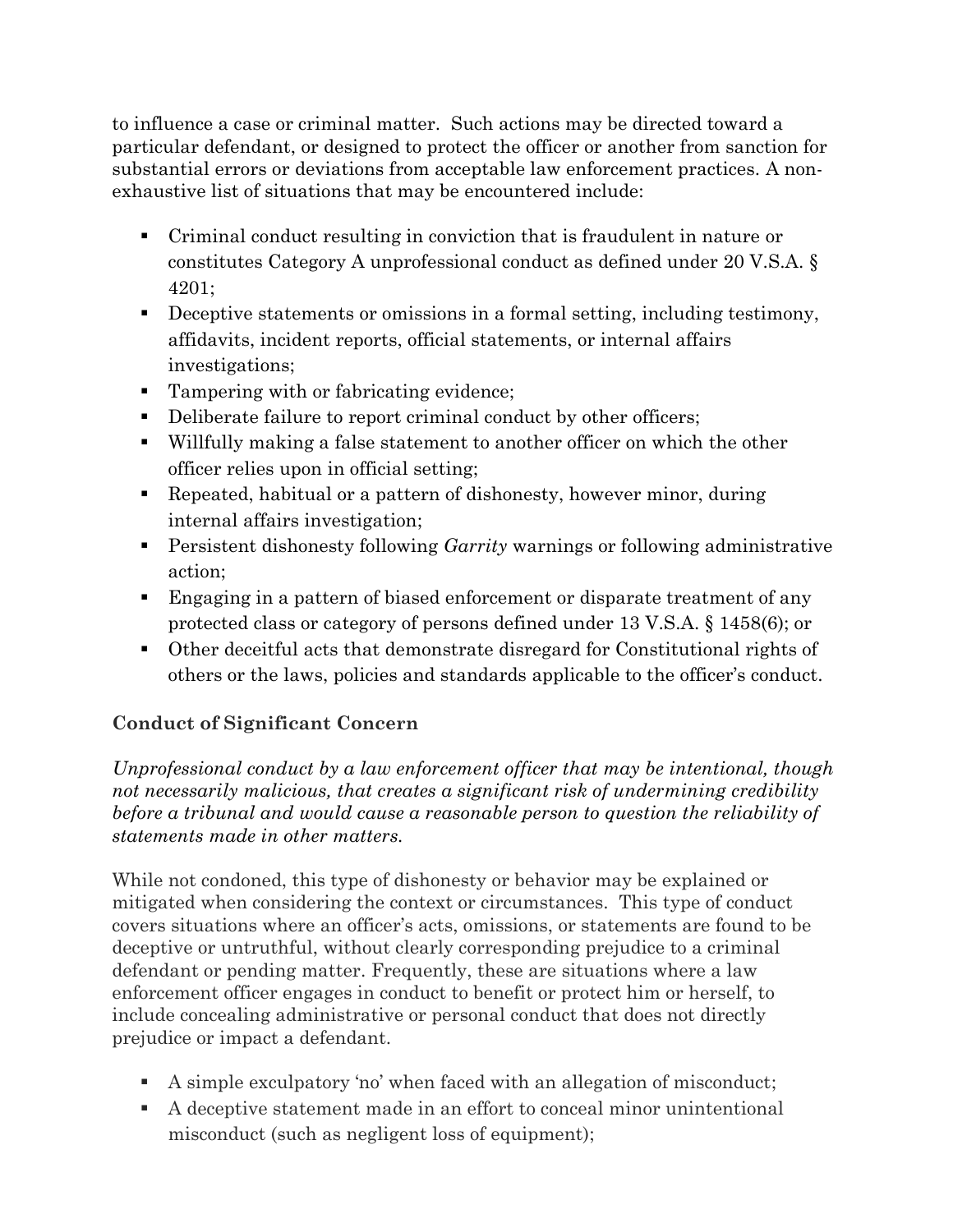to influence a case or criminal matter. Such actions may be directed toward a particular defendant, or designed to protect the officer or another from sanction for substantial errors or deviations from acceptable law enforcement practices. A nonexhaustive list of situations that may be encountered include:

- Criminal conduct resulting in conviction that is fraudulent in nature or constitutes Category A unprofessional conduct as defined under 20 V.S.A. § 4201;
- **•** Deceptive statements or omissions in a formal setting, including testimony, affidavits, incident reports, official statements, or internal affairs investigations;
- Tampering with or fabricating evidence;
- Deliberate failure to report criminal conduct by other officers;
- Willfully making a false statement to another officer on which the other officer relies upon in official setting;
- Repeated, habitual or a pattern of dishonesty, however minor, during internal affairs investigation;
- Persistent dishonesty following *Garrity* warnings or following administrative action;
- Engaging in a pattern of biased enforcement or disparate treatment of any protected class or category of persons defined under 13 V.S.A. § 1458(6); or
- Other deceitful acts that demonstrate disregard for Constitutional rights of others or the laws, policies and standards applicable to the officer's conduct.

# **Conduct of Significant Concern**

*Unprofessional conduct by a law enforcement officer that may be intentional, though not necessarily malicious, that creates a significant risk of undermining credibility before a tribunal and would cause a reasonable person to question the reliability of statements made in other matters.*

While not condoned, this type of dishonesty or behavior may be explained or mitigated when considering the context or circumstances. This type of conduct covers situations where an officer's acts, omissions, or statements are found to be deceptive or untruthful, without clearly corresponding prejudice to a criminal defendant or pending matter. Frequently, these are situations where a law enforcement officer engages in conduct to benefit or protect him or herself, to include concealing administrative or personal conduct that does not directly prejudice or impact a defendant.

- A simple exculpatory 'no' when faced with an allegation of misconduct;
- A deceptive statement made in an effort to conceal minor unintentional misconduct (such as negligent loss of equipment);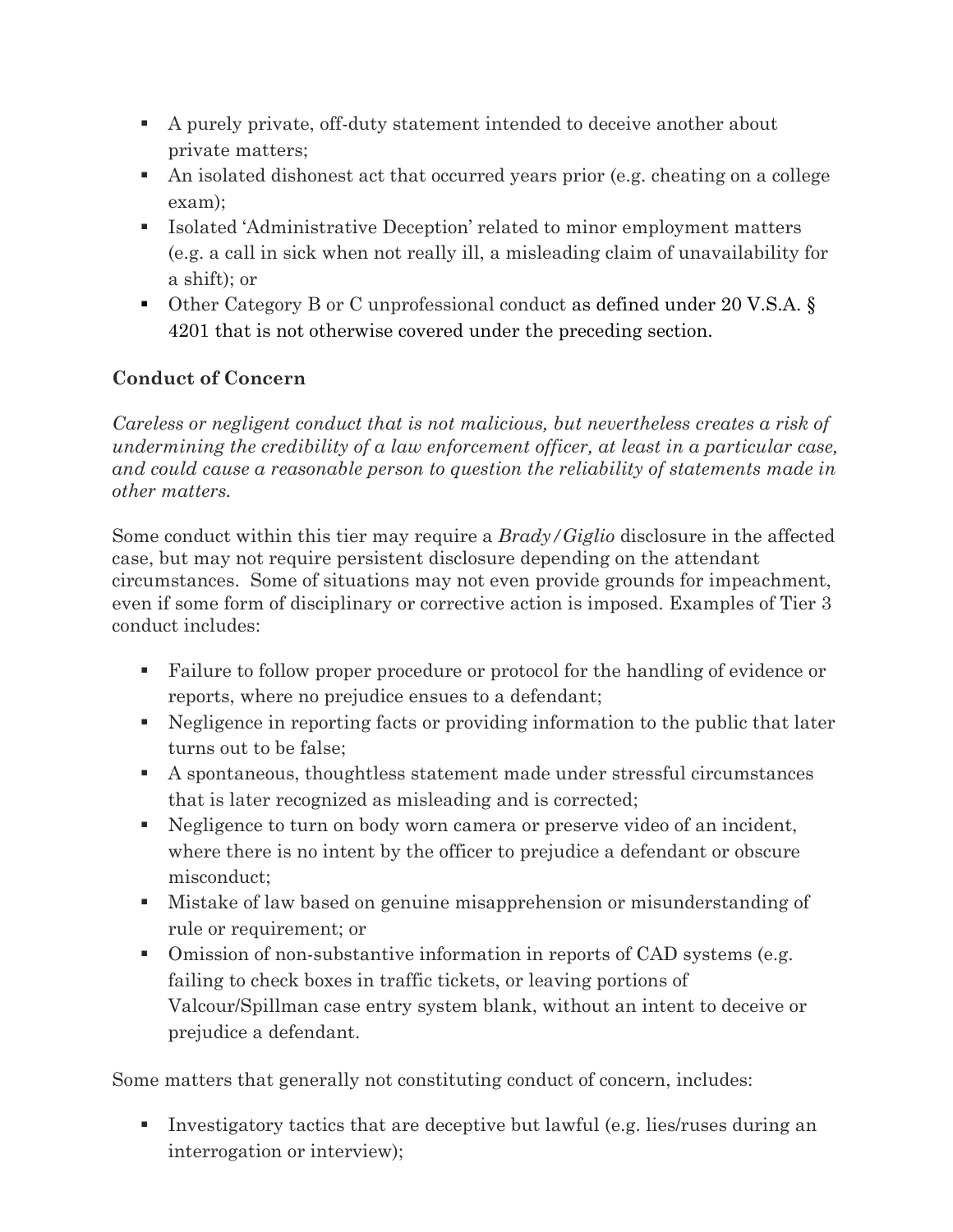- A purely private, off-duty statement intended to deceive another about private matters;
- An isolated dishonest act that occurred years prior (e.g. cheating on a college exam);
- Isolated 'Administrative Deception' related to minor employment matters (e.g. a call in sick when not really ill, a misleading claim of unavailability for a shift); or
- Other Category B or C unprofessional conduct as defined under 20 V.S.A. § 4201 that is not otherwise covered under the preceding section.

# **Conduct of Concern**

*Careless or negligent conduct that is not malicious, but nevertheless creates a risk of undermining the credibility of a law enforcement officer, at least in a particular case, and could cause a reasonable person to question the reliability of statements made in other matters.*

Some conduct within this tier may require a *Brady/Giglio* disclosure in the affected case, but may not require persistent disclosure depending on the attendant circumstances. Some of situations may not even provide grounds for impeachment, even if some form of disciplinary or corrective action is imposed. Examples of Tier 3 conduct includes:

- Failure to follow proper procedure or protocol for the handling of evidence or reports, where no prejudice ensues to a defendant;
- Negligence in reporting facts or providing information to the public that later turns out to be false;
- A spontaneous, thoughtless statement made under stressful circumstances that is later recognized as misleading and is corrected;
- Negligence to turn on body worn camera or preserve video of an incident, where there is no intent by the officer to prejudice a defendant or obscure misconduct;
- Mistake of law based on genuine misapprehension or misunderstanding of rule or requirement; or
- Omission of non-substantive information in reports of CAD systems (e.g. failing to check boxes in traffic tickets, or leaving portions of Valcour/Spillman case entry system blank, without an intent to deceive or prejudice a defendant.

Some matters that generally not constituting conduct of concern, includes:

**E** Investigatory tactics that are deceptive but lawful (e.g. lies/ruses during an interrogation or interview);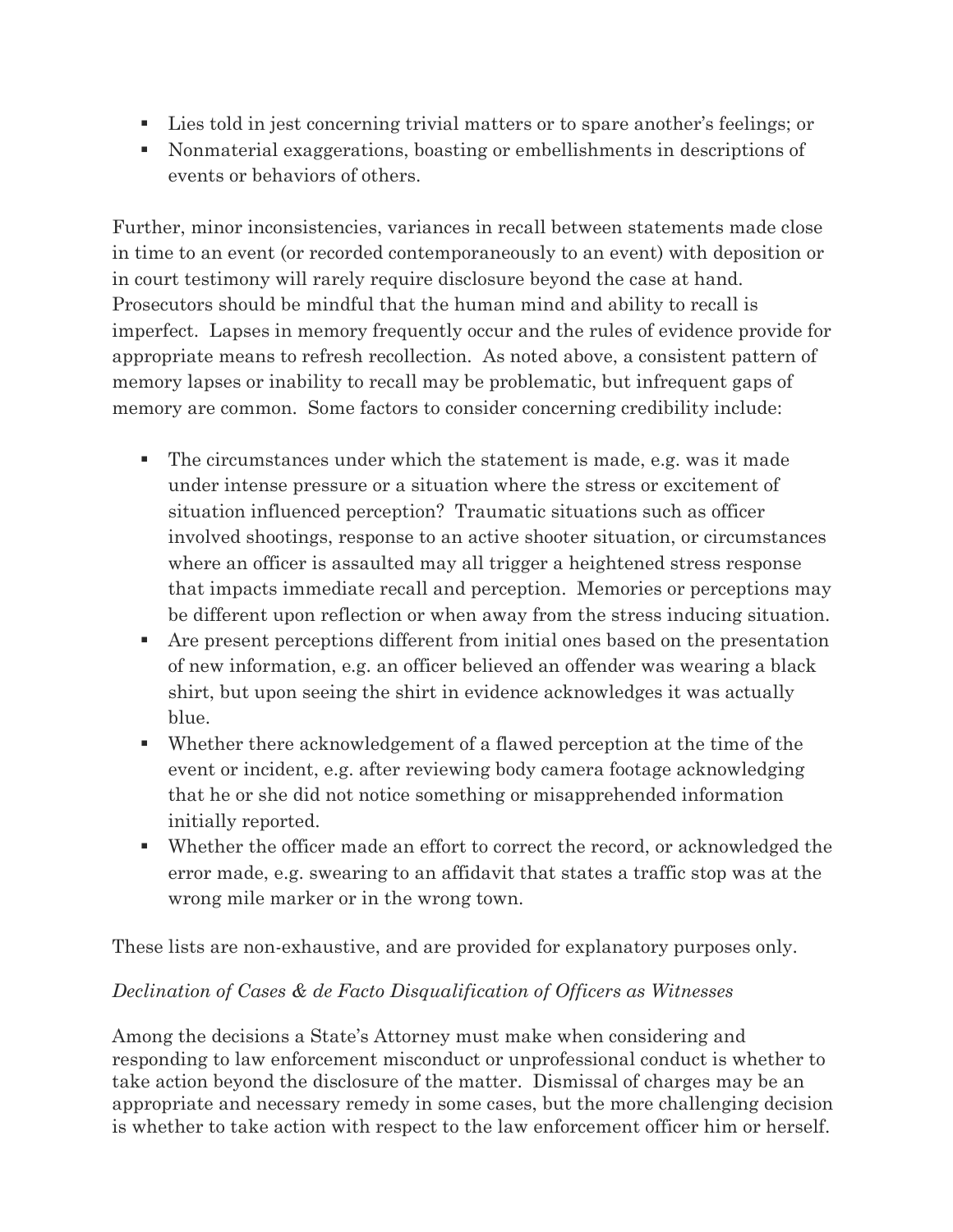- Lies told in jest concerning trivial matters or to spare another's feelings; or
- Nonmaterial exaggerations, boasting or embellishments in descriptions of events or behaviors of others.

Further, minor inconsistencies, variances in recall between statements made close in time to an event (or recorded contemporaneously to an event) with deposition or in court testimony will rarely require disclosure beyond the case at hand. Prosecutors should be mindful that the human mind and ability to recall is imperfect. Lapses in memory frequently occur and the rules of evidence provide for appropriate means to refresh recollection. As noted above, a consistent pattern of memory lapses or inability to recall may be problematic, but infrequent gaps of memory are common. Some factors to consider concerning credibility include:

- The circumstances under which the statement is made, e.g. was it made under intense pressure or a situation where the stress or excitement of situation influenced perception? Traumatic situations such as officer involved shootings, response to an active shooter situation, or circumstances where an officer is assaulted may all trigger a heightened stress response that impacts immediate recall and perception. Memories or perceptions may be different upon reflection or when away from the stress inducing situation.
- Are present perceptions different from initial ones based on the presentation of new information, e.g. an officer believed an offender was wearing a black shirt, but upon seeing the shirt in evidence acknowledges it was actually blue.
- Whether there acknowledgement of a flawed perception at the time of the event or incident, e.g. after reviewing body camera footage acknowledging that he or she did not notice something or misapprehended information initially reported.
- Whether the officer made an effort to correct the record, or acknowledged the error made, e.g. swearing to an affidavit that states a traffic stop was at the wrong mile marker or in the wrong town.

These lists are non-exhaustive, and are provided for explanatory purposes only.

#### *Declination of Cases & de Facto Disqualification of Officers as Witnesses*

Among the decisions a State's Attorney must make when considering and responding to law enforcement misconduct or unprofessional conduct is whether to take action beyond the disclosure of the matter. Dismissal of charges may be an appropriate and necessary remedy in some cases, but the more challenging decision is whether to take action with respect to the law enforcement officer him or herself.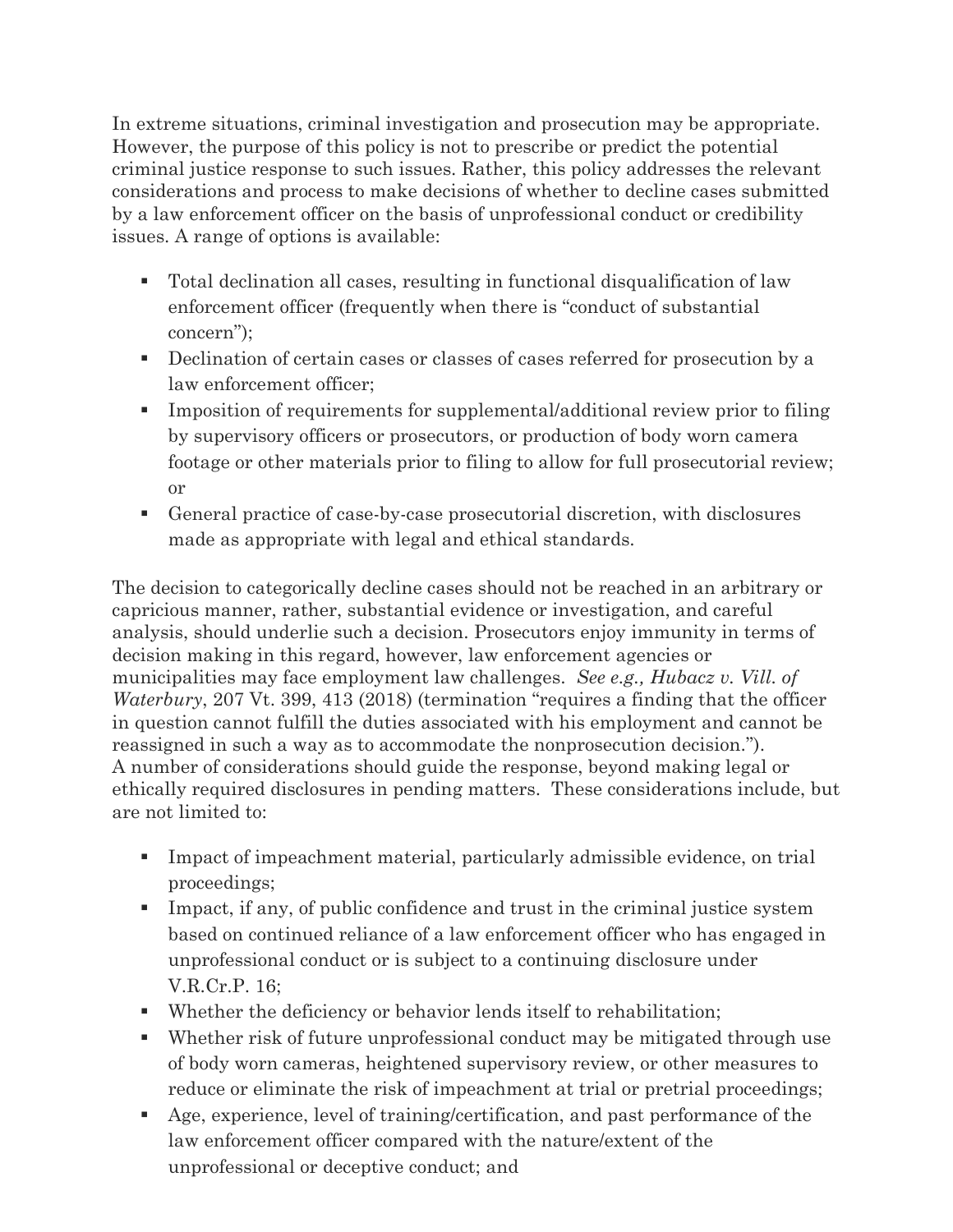In extreme situations, criminal investigation and prosecution may be appropriate. However, the purpose of this policy is not to prescribe or predict the potential criminal justice response to such issues. Rather, this policy addresses the relevant considerations and process to make decisions of whether to decline cases submitted by a law enforcement officer on the basis of unprofessional conduct or credibility issues. A range of options is available:

- Total declination all cases, resulting in functional disqualification of law enforcement officer (frequently when there is "conduct of substantial concern");
- Declination of certain cases or classes of cases referred for prosecution by a law enforcement officer;
- **•** Imposition of requirements for supplemental/additional review prior to filing by supervisory officers or prosecutors, or production of body worn camera footage or other materials prior to filing to allow for full prosecutorial review; or
- General practice of case-by-case prosecutorial discretion, with disclosures made as appropriate with legal and ethical standards.

The decision to categorically decline cases should not be reached in an arbitrary or capricious manner, rather, substantial evidence or investigation, and careful analysis, should underlie such a decision. Prosecutors enjoy immunity in terms of decision making in this regard, however, law enforcement agencies or municipalities may face employment law challenges. *See e.g., Hubacz v. Vill. of Waterbury*, 207 Vt. 399, 413 (2018) (termination "requires a finding that the officer in question cannot fulfill the duties associated with his employment and cannot be reassigned in such a way as to accommodate the nonprosecution decision."). A number of considerations should guide the response, beyond making legal or ethically required disclosures in pending matters. These considerations include, but are not limited to:

- Impact of impeachment material, particularly admissible evidence, on trial proceedings;
- Impact, if any, of public confidence and trust in the criminal justice system based on continued reliance of a law enforcement officer who has engaged in unprofessional conduct or is subject to a continuing disclosure under V.R.Cr.P. 16;
- Whether the deficiency or behavior lends itself to rehabilitation;
- Whether risk of future unprofessional conduct may be mitigated through use of body worn cameras, heightened supervisory review, or other measures to reduce or eliminate the risk of impeachment at trial or pretrial proceedings;
- Age, experience, level of training/certification, and past performance of the law enforcement officer compared with the nature/extent of the unprofessional or deceptive conduct; and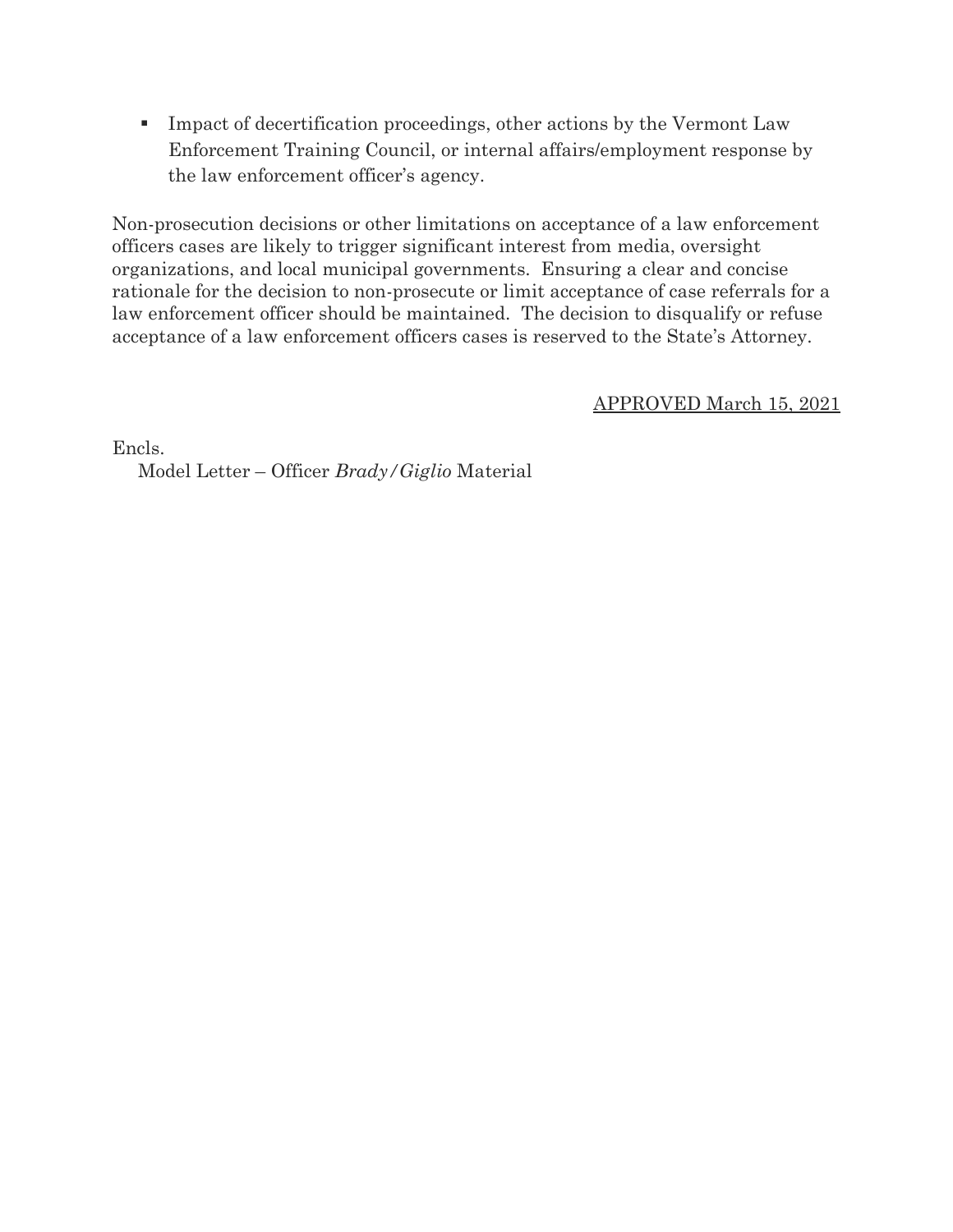**Example 1** Impact of decertification proceedings, other actions by the Vermont Law Enforcement Training Council, or internal affairs/employment response by the law enforcement officer's agency.

Non-prosecution decisions or other limitations on acceptance of a law enforcement officers cases are likely to trigger significant interest from media, oversight organizations, and local municipal governments. Ensuring a clear and concise rationale for the decision to non-prosecute or limit acceptance of case referrals for a law enforcement officer should be maintained. The decision to disqualify or refuse acceptance of a law enforcement officers cases is reserved to the State's Attorney.

APPROVED March 15, 2021

Encls.

Model Letter – Officer *Brady/Giglio* Material